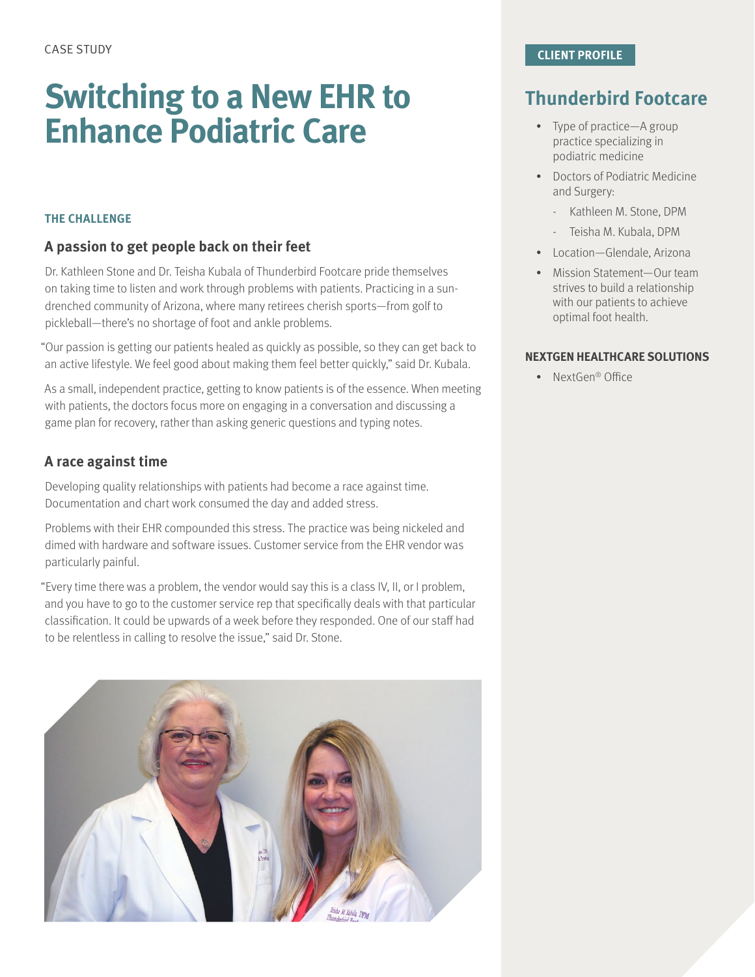# **Switching to a New EHR to Enhance Podiatric Care**

#### **THE CHALLENGE**

#### **A passion to get people back on their feet**

Dr. Kathleen Stone and Dr. Teisha Kubala of Thunderbird Footcare pride themselves on taking time to listen and work through problems with patients. Practicing in a sundrenched community of Arizona, where many retirees cherish sports—from golf to pickleball—there's no shortage of foot and ankle problems.

"Our passion is getting our patients healed as quickly as possible, so they can get back to an active lifestyle. We feel good about making them feel better quickly," said Dr. Kubala.

As a small, independent practice, getting to know patients is of the essence. When meeting with patients, the doctors focus more on engaging in a conversation and discussing a game plan for recovery, rather than asking generic questions and typing notes.

#### **A race against time**

Developing quality relationships with patients had become a race against time. Documentation and chart work consumed the day and added stress.

Problems with their EHR compounded this stress. The practice was being nickeled and dimed with hardware and software issues. Customer service from the EHR vendor was particularly painful.

"Every time there was a problem, the vendor would say this is a class IV, II, or I problem, and you have to go to the customer service rep that specifically deals with that particular classification. It could be upwards of a week before they responded. One of our staff had to be relentless in calling to resolve the issue," said Dr. Stone.



### **Thunderbird Footcare**

- Type of practice—A group practice specializing in podiatric medicine
- Doctors of Podiatric Medicine and Surgery:
	- Kathleen M. Stone, DPM
	- Teisha M. Kubala, DPM
- Location—Glendale, Arizona
- Mission Statement—Our team strives to build a relationship with our patients to achieve optimal foot health.

#### **NEXTGEN HEALTHCARE SOLUTIONS**

• NextGen® Office